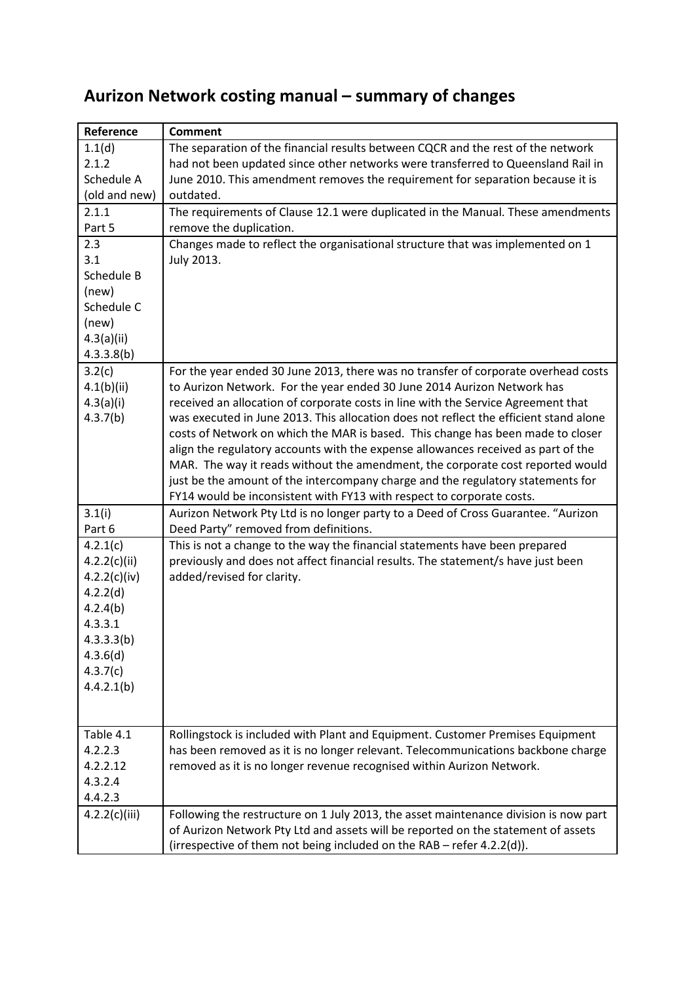| Reference     | <b>Comment</b>                                                                                                                                           |
|---------------|----------------------------------------------------------------------------------------------------------------------------------------------------------|
| 1.1(d)        | The separation of the financial results between CQCR and the rest of the network                                                                         |
| 2.1.2         | had not been updated since other networks were transferred to Queensland Rail in                                                                         |
| Schedule A    | June 2010. This amendment removes the requirement for separation because it is                                                                           |
| (old and new) | outdated.                                                                                                                                                |
| 2.1.1         | The requirements of Clause 12.1 were duplicated in the Manual. These amendments                                                                          |
| Part 5        | remove the duplication.                                                                                                                                  |
| 2.3           | Changes made to reflect the organisational structure that was implemented on 1                                                                           |
| 3.1           | July 2013.                                                                                                                                               |
| Schedule B    |                                                                                                                                                          |
| (new)         |                                                                                                                                                          |
| Schedule C    |                                                                                                                                                          |
| (new)         |                                                                                                                                                          |
| 4.3(a)(ii)    |                                                                                                                                                          |
| 4.3.3.8(b)    |                                                                                                                                                          |
| 3.2(c)        | For the year ended 30 June 2013, there was no transfer of corporate overhead costs                                                                       |
| 4.1(b)(ii)    | to Aurizon Network. For the year ended 30 June 2014 Aurizon Network has                                                                                  |
| 4.3(a)(i)     | received an allocation of corporate costs in line with the Service Agreement that                                                                        |
| 4.3.7(b)      | was executed in June 2013. This allocation does not reflect the efficient stand alone                                                                    |
|               | costs of Network on which the MAR is based. This change has been made to closer                                                                          |
|               | align the regulatory accounts with the expense allowances received as part of the                                                                        |
|               | MAR. The way it reads without the amendment, the corporate cost reported would                                                                           |
|               | just be the amount of the intercompany charge and the regulatory statements for<br>FY14 would be inconsistent with FY13 with respect to corporate costs. |
| 3.1(i)        | Aurizon Network Pty Ltd is no longer party to a Deed of Cross Guarantee. "Aurizon                                                                        |
| Part 6        | Deed Party" removed from definitions.                                                                                                                    |
| 4.2.1(c)      | This is not a change to the way the financial statements have been prepared                                                                              |
| 4.2.2(c)(ii)  | previously and does not affect financial results. The statement/s have just been                                                                         |
| 4.2.2(c)(iv)  | added/revised for clarity.                                                                                                                               |
| 4.2.2(d)      |                                                                                                                                                          |
| 4.2.4(b)      |                                                                                                                                                          |
| 4.3.3.1       |                                                                                                                                                          |
| 4.3.3.3(b)    |                                                                                                                                                          |
| 4.3.6(d)      |                                                                                                                                                          |
| 4.3.7(c)      |                                                                                                                                                          |
| 4.4.2.1(b)    |                                                                                                                                                          |
|               |                                                                                                                                                          |
|               |                                                                                                                                                          |
| Table 4.1     | Rollingstock is included with Plant and Equipment. Customer Premises Equipment                                                                           |
| 4.2.2.3       | has been removed as it is no longer relevant. Telecommunications backbone charge                                                                         |
| 4.2.2.12      | removed as it is no longer revenue recognised within Aurizon Network.                                                                                    |
| 4.3.2.4       |                                                                                                                                                          |
| 4.4.2.3       |                                                                                                                                                          |
| 4.2.2(c)(iii) | Following the restructure on 1 July 2013, the asset maintenance division is now part                                                                     |
|               | of Aurizon Network Pty Ltd and assets will be reported on the statement of assets                                                                        |
|               | (irrespective of them not being included on the RAB - refer 4.2.2(d)).                                                                                   |

## **Aurizon Network costing manual – summary of changes**